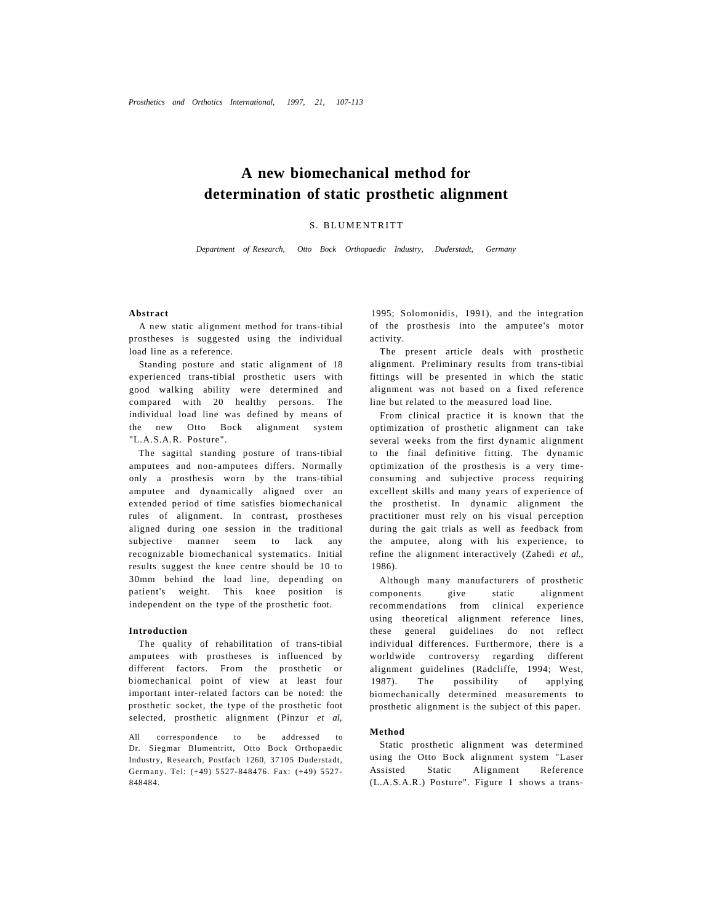# **A new biomechanical method for determination of static prosthetic alignment**

### S. BLUMENTRITT

*Department of Research, Otto Bock Orthopaedic Industry, Duderstadt, Germany* 

### **Abstract**

A new static alignment method for trans-tibial prostheses is suggested using the individual load line as a reference.

Standing posture and static alignment of 18 experienced trans-tibial prosthetic users with good walking ability were determined and compared with 20 healthy persons. The individual load line was defined by means of the new Otto Bock alignment system "L.A.S.A.R. Posture".

The sagittal standing posture of trans-tibial amputees and non-amputees differs. Normally only a prosthesis worn by the trans-tibial amputee and dynamically aligned over an extended period of time satisfies biomechanical rules of alignment. In contrast, prostheses aligned during one session in the traditional subjective manner seem to lack any recognizable biomechanical systematics. Initial results suggest the knee centre should be 10 to 30mm behind the load line, depending on patient's weight. This knee position is independent on the type of the prosthetic foot.

### **Introduction**

The quality of rehabilitation of trans-tibial amputees with prostheses is influenced by different factors. From the prosthetic or biomechanical point of view at least four important inter-related factors can be noted: the prosthetic socket, the type of the prosthetic foot selected, prosthetic alignment (Pinzur *et al,* 

All correspondence to be addressed to Dr. Siegmar Blumentritt, Otto Bock Orthopaedic Industry, Research, Postfach 1260, 37105 Duderstadt, Germany. Tel: (+49) 5527-848476. Fax: (+49) 5527- 848484.

1995; Solomonidis, 1991), and the integration of the prosthesis into the amputee's motor activity.

The present article deals with prosthetic alignment. Preliminary results from trans-tibial fittings will be presented in which the static alignment was not based on a fixed reference line but related to the measured load line.

From clinical practice it is known that the optimization of prosthetic alignment can take several weeks from the first dynamic alignment to the final definitive fitting. The dynamic optimization of the prosthesis is a very timeconsuming and subjective process requiring excellent skills and many years of experience of the prosthetist. In dynamic alignment the practitioner must rely on his visual perception during the gait trials as well as feedback from the amputee, along with his experience, to refine the alignment interactively (Zahedi *et al.,*  1986).

Although many manufacturers of prosthetic components give static alignment recommendations from clinical experience using theoretical alignment reference lines, these general guidelines do not reflect individual differences. Furthermore, there is a worldwide controversy regarding different alignment guidelines (Radcliffe, 1994; West, 1987). The possibility of applying biomechanically determined measurements to prosthetic alignment is the subject of this paper.

#### **Method**

Static prosthetic alignment was determined using the Otto Bock alignment system "Laser Assisted Static Alignment Reference (L.A.S.A.R.) Posture". Figure 1 shows a trans-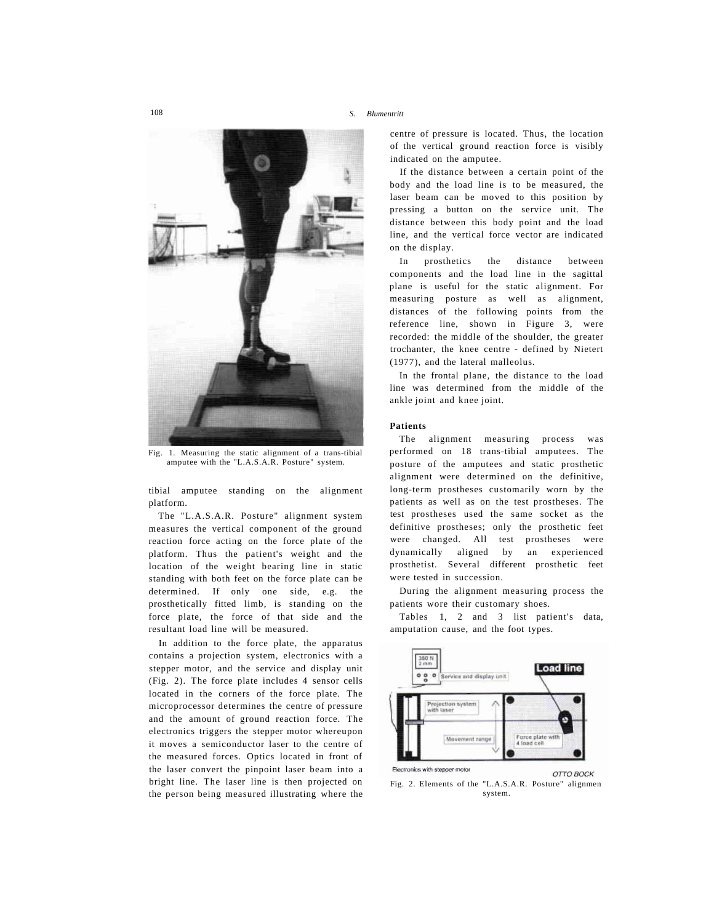

Fig. 1. Measuring the static alignment of a trans-tibial amputee with the "L.A.S.A.R. Posture" system.

tibial amputee standing on the alignment platform.

The "L.A.S.A.R. Posture" alignment system measures the vertical component of the ground reaction force acting on the force plate of the platform. Thus the patient's weight and the location of the weight bearing line in static standing with both feet on the force plate can be determined. If only one side, e.g. the prosthetically fitted limb, is standing on the force plate, the force of that side and the resultant load line will be measured.

In addition to the force plate, the apparatus contains a projection system, electronics with a stepper motor, and the service and display unit (Fig. 2). The force plate includes 4 sensor cells located in the corners of the force plate. The microprocessor determines the centre of pressure and the amount of ground reaction force. The electronics triggers the stepper motor whereupon it moves a semiconductor laser to the centre of the measured forces. Optics located in front of the laser convert the pinpoint laser beam into a bright line. The laser line is then projected on the person being measured illustrating where the centre of pressure is located. Thus, the location of the vertical ground reaction force is visibly indicated on the amputee.

If the distance between a certain point of the body and the load line is to be measured, the laser beam can be moved to this position by pressing a button on the service unit. The distance between this body point and the load line, and the vertical force vector are indicated on the display.

In prosthetics the distance between components and the load line in the sagittal plane is useful for the static alignment. For measuring posture as well as alignment, distances of the following points from the reference line, shown in Figure 3, were recorded: the middle of the shoulder, the greater trochanter, the knee centre - defined by Nietert (1977), and the lateral malleolus.

In the frontal plane, the distance to the load line was determined from the middle of the ankle joint and knee joint.

### **Patients**

The alignment measuring process was performed on 18 trans-tibial amputees. The posture of the amputees and static prosthetic alignment were determined on the definitive, long-term prostheses customarily worn by the patients as well as on the test prostheses. The test prostheses used the same socket as the definitive prostheses; only the prosthetic feet were changed. All test prostheses were dynamically aligned by an experienced prosthetist. Several different prosthetic feet were tested in succession.

During the alignment measuring process the patients wore their customary shoes.

Tables 1, 2 and 3 list patient's data, amputation cause, and the foot types.



Fig. 2. Elements of the "L.A.S.A.R. Posture" alignmen system.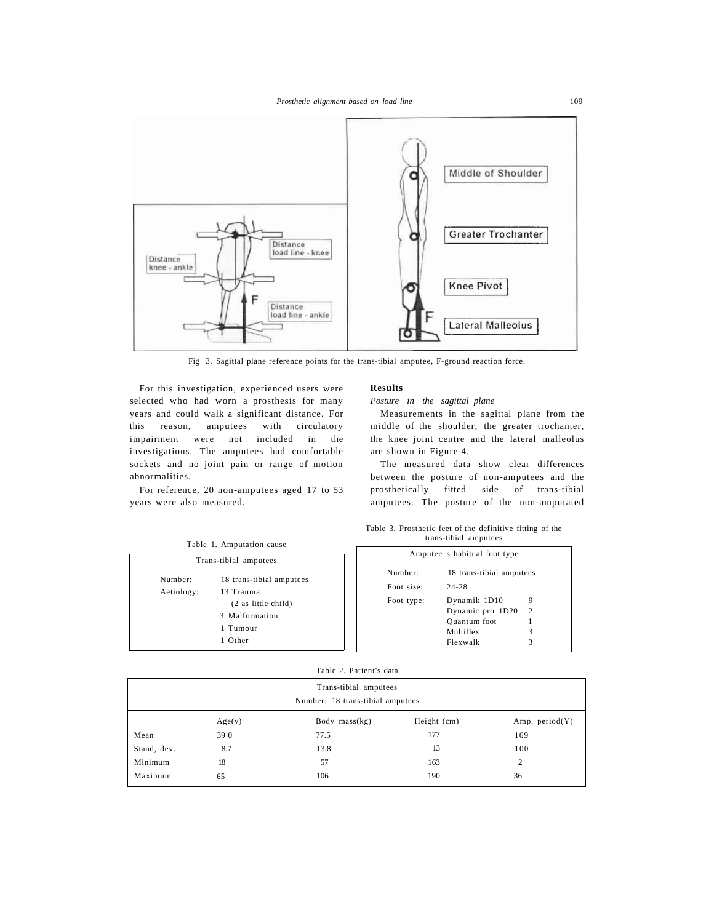

Fig 3. Sagittal plane reference points for the trans-tibial amputee, F-ground reaction force.

For this investigation, experienced users were selected who had worn a prosthesis for many years and could walk a significant distance. For this reason, amputees with circulatory impairment were not included in the investigations. The amputees had comfortable sockets and no joint pain or range of motion abnormalities.

For reference, 20 non-amputees aged 17 to 53 years were also measured.

## **Results**

### *Posture in the sagittal plane*

Measurements in the sagittal plane from the middle of the shoulder, the greater trochanter, the knee joint centre and the lateral malleolus are shown in Figure 4.

The measured data show clear differences between the posture of non-amputees and the prosthetically fitted side of trans-tibial amputees. The posture of the non-amputated

Table 3. Prosthetic feet of the definitive fitting of the

Table 1. Amputation cause trans-tibial amputees Amputee s habitual foot type Number: 18 trans-tibial amputees Foot size: 24-28 Foot type: Dynamik 1D10 9 Dynamic pro 1D20 2 Quantum foot 1 Multiflex 3 Flexwalk 3 Trans-tibial amputees Number: 18 trans-tibial amputees Aetiology: 13 Trauma (2 as little child) 3 Malformation 1 Tumour 1 Other

|  | Table 2. Patient's data |  |
|--|-------------------------|--|
|  |                         |  |

|             | Trans-tibial amputees<br>Number: 18 trans-tibial amputees |                 |             |                   |
|-------------|-----------------------------------------------------------|-----------------|-------------|-------------------|
|             | Age(y)                                                    | Body $mass(kg)$ | Height (cm) | Amp. period $(Y)$ |
| Mean        | 39 0                                                      | 77.5            | 177         | 169               |
| Stand, dev. | 8.7                                                       | 13.8            | 13          | 100               |
| Minimum     | 18                                                        | 57              | 163         | $\overline{c}$    |
| Maximum     | 65                                                        | 106             | 190         | 36                |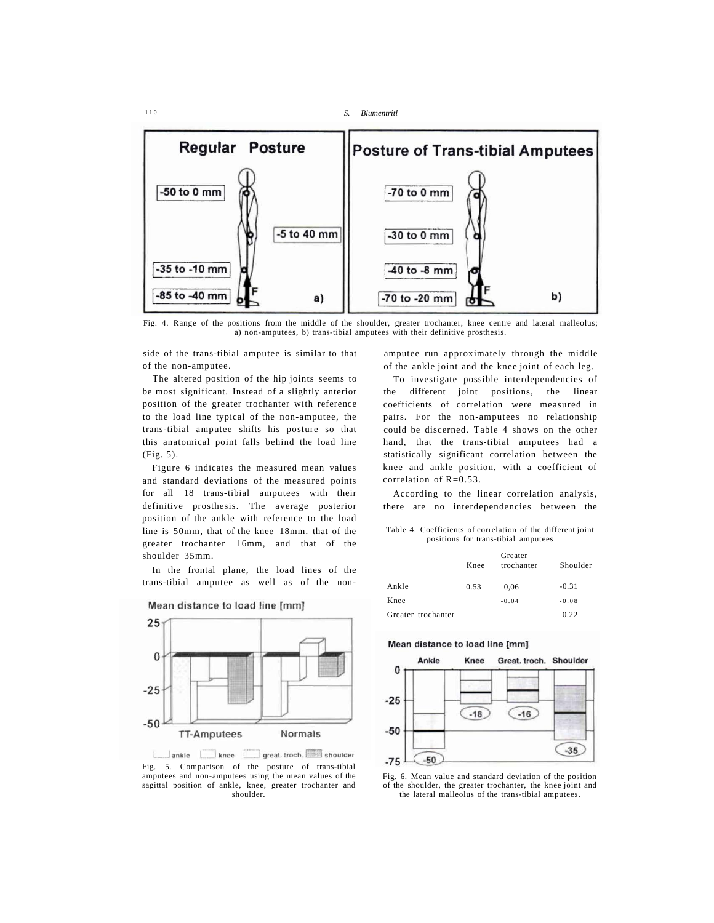1 1 0 *S. Blumentritl* 



Fig. 4. Range of the positions from the middle of the shoulder, greater trochanter, knee centre and lateral malleolus; a) non-amputees, b) trans-tibial amputees with their definitive prosthesis.

side of the trans-tibial amputee is similar to that of the non-amputee.

The altered position of the hip joints seems to be most significant. Instead of a slightly anterior position of the greater trochanter with reference to the load line typical of the non-amputee, the trans-tibial amputee shifts his posture so that this anatomical point falls behind the load line (Fig. 5).

Figure 6 indicates the measured mean values and standard deviations of the measured points for all 18 trans-tibial amputees with their definitive prosthesis. The average posterior position of the ankle with reference to the load line is 50mm, that of the knee 18mm. that of the greater trochanter 16mm, and that of the shoulder 35mm.

In the frontal plane, the load lines of the trans-tibial amputee as well as of the non-



Mean distance to load line [mm]

ankle knee great. troch. Shoulder Fig. 5. Comparison of the posture of trans-tibial amputees and non-amputees using the mean values of the sagittal position of ankle, knee, greater trochanter and shoulder.

amputee run approximately through the middle of the ankle joint and the knee joint of each leg.

To investigate possible interdependencies of the different joint positions, the linear coefficients of correlation were measured in pairs. For the non-amputees no relationship could be discerned. Table 4 shows on the other hand, that the trans-tibial amputees had a statistically significant correlation between the knee and ankle position, with a coefficient of correlation of R=0.53.

According to the linear correlation analysis, there are no interdependencies between the

Table 4. Coefficients of correlation of the different joint positions for trans-tibial amputees

|                    |      | Greater    |          |
|--------------------|------|------------|----------|
|                    | Knee | trochanter | Shoulder |
| Ankle              | 0.53 | 0.06       | $-0.31$  |
| Knee               |      | $-0.04$    | $-0.08$  |
| Greater trochanter |      |            | 0.22     |

#### Mean distance to load line [mm]



Fig. 6. Mean value and standard deviation of the position of the shoulder, the greater trochanter, the knee joint and the lateral malleolus of the trans-tibial amputees.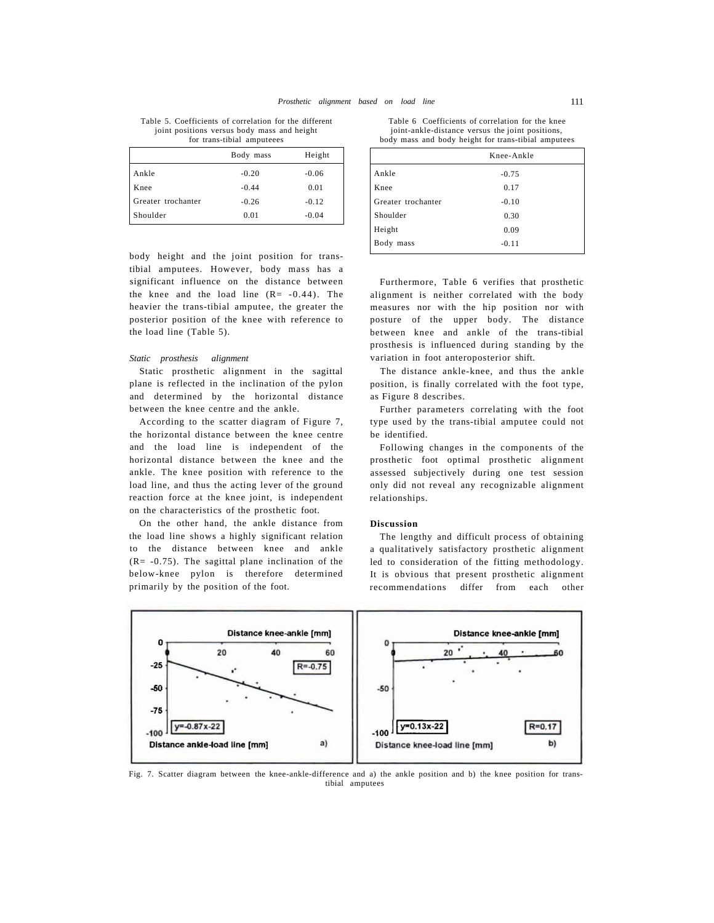Table 5. Coefficients of correlation for the different joint positions versus body mass and height for trans-tibial amputeees

|                    | Body mass | Height  |
|--------------------|-----------|---------|
| Ankle              | $-0.20$   | $-0.06$ |
| Knee               | $-0.44$   | 0.01    |
| Greater trochanter | $-0.26$   | $-0.12$ |
| Shoulder           | 0.01      | $-0.04$ |

body height and the joint position for transtibial amputees. However, body mass has a significant influence on the distance between the knee and the load line  $(R = -0.44)$ . The heavier the trans-tibial amputee, the greater the posterior position of the knee with reference to the load line (Table 5).

### *Static prosthesis alignment*

Static prosthetic alignment in the sagittal plane is reflected in the inclination of the pylon and determined by the horizontal distance between the knee centre and the ankle.

According to the scatter diagram of Figure 7, the horizontal distance between the knee centre and the load line is independent of the horizontal distance between the knee and the ankle. The knee position with reference to the load line, and thus the acting lever of the ground reaction force at the knee joint, is independent on the characteristics of the prosthetic foot.

On the other hand, the ankle distance from the load line shows a highly significant relation to the distance between knee and ankle  $(R = -0.75)$ . The sagittal plane inclination of the below-knee pylon is therefore determined primarily by the position of the foot.

Table 6 Coefficients of correlation for the knee joint-ankle-distance versus the joint positions, body mass and body height for trans-tibial amputees

|                    | Knee-Ankle |  |
|--------------------|------------|--|
| Ankle              | $-0.75$    |  |
| Knee               | 0.17       |  |
| Greater trochanter | $-0.10$    |  |
| Shoulder           | 0.30       |  |
| Height             | 0.09       |  |
| Body<br>mass       | $-0.11$    |  |

Furthermore, Table 6 verifies that prosthetic alignment is neither correlated with the body measures nor with the hip position nor with posture of the upper body. The distance between knee and ankle of the trans-tibial prosthesis is influenced during standing by the variation in foot anteroposterior shift.

The distance ankle-knee, and thus the ankle position, is finally correlated with the foot type, as Figure 8 describes.

Further parameters correlating with the foot type used by the trans-tibial amputee could not be identified.

Following changes in the components of the prosthetic foot optimal prosthetic alignment assessed subjectively during one test session only did not reveal any recognizable alignment relationships.

### **Discussion**

The lengthy and difficult process of obtaining a qualitatively satisfactory prosthetic alignment led to consideration of the fitting methodology. It is obvious that present prosthetic alignment recommendations differ from each other



Fig. 7. Scatter diagram between the knee-ankle-difference and a) the ankle position and b) the knee position for transtibial amputees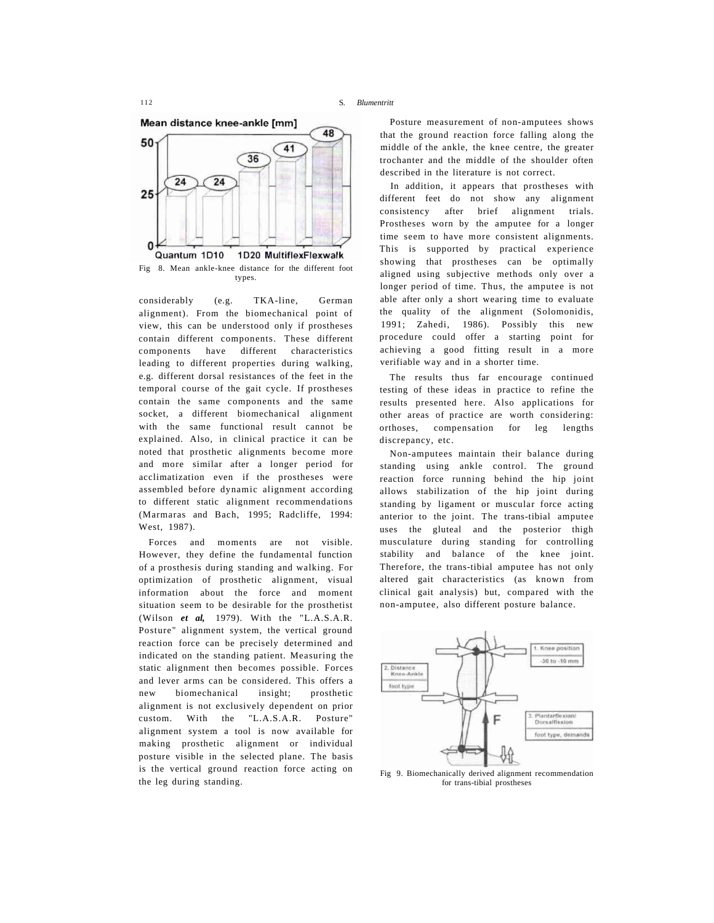Mean distance knee-ankle [mm]



Fig 8. Mean ankle-knee distance for the different foot types.

considerably (e.g. TKA-line, German alignment). From the biomechanical point of view, this can be understood only if prostheses contain different components. These different components have different characteristics leading to different properties during walking, e.g. different dorsal resistances of the feet in the temporal course of the gait cycle. If prostheses contain the same components and the same socket, a different biomechanical alignment with the same functional result cannot be explained. Also, in clinical practice it can be noted that prosthetic alignments become more and more similar after a longer period for acclimatization even if the prostheses were assembled before dynamic alignment according to different static alignment recommendations (Marmaras and Bach, 1995; Radcliffe, 1994: West, 1987).

Forces and moments are not visible. However, they define the fundamental function of a prosthesis during standing and walking. For optimization of prosthetic alignment, visual information about the force and moment situation seem to be desirable for the prosthetist (Wilson *et al,* 1979). With the "L.A.S.A.R. Posture" alignment system, the vertical ground reaction force can be precisely determined and indicated on the standing patient. Measuring the static alignment then becomes possible. Forces and lever arms can be considered. This offers a new biomechanical insight; prosthetic alignment is not exclusively dependent on prior custom. With the "L.A.S.A.R. Posture" alignment system a tool is now available for making prosthetic alignment or individual posture visible in the selected plane. The basis is the vertical ground reaction force acting on the leg during standing.

Posture measurement of non-amputees shows that the ground reaction force falling along the middle of the ankle, the knee centre, the greater trochanter and the middle of the shoulder often described in the literature is not correct.

In addition, it appears that prostheses with different feet do not show any alignment consistency after brief alignment trials. Prostheses worn by the amputee for a longer time seem to have more consistent alignments. This is supported by practical experience showing that prostheses can be optimally aligned using subjective methods only over a longer period of time. Thus, the amputee is not able after only a short wearing time to evaluate the quality of the alignment (Solomonidis, 1991; Zahedi, 1986). Possibly this new procedure could offer a starting point for achieving a good fitting result in a more verifiable way and in a shorter time.

The results thus far encourage continued testing of these ideas in practice to refine the results presented here. Also applications for other areas of practice are worth considering: orthoses, compensation for leg lengths discrepancy, etc.

Non-amputees maintain their balance during standing using ankle control. The ground reaction force running behind the hip joint allows stabilization of the hip joint during standing by ligament or muscular force acting anterior to the joint. The trans-tibial amputee uses the gluteal and the posterior thigh musculature during standing for controlling stability and balance of the knee joint. Therefore, the trans-tibial amputee has not only altered gait characteristics (as known from clinical gait analysis) but, compared with the non-amputee, also different posture balance.



Fig 9. Biomechanically derived alignment recommendation for trans-tibial prostheses